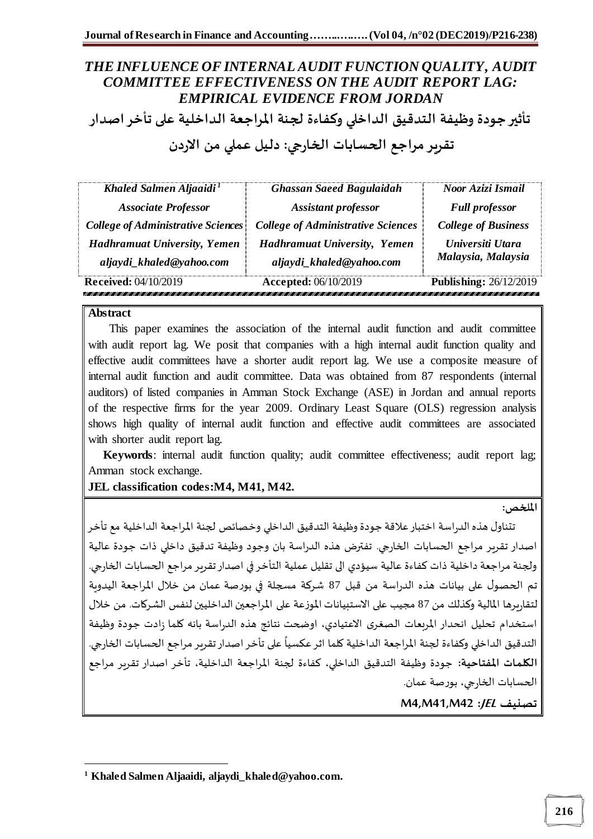**تأثير جودة وظيفة التدقيق الداخلي وكفاءة لجنة املراجعة الداخلية على تأخر اصدار** 

# **تقرير مراجع الحسابات الخارجي: دليل عملي من االردن**

| Khaled Salmen Aljaaidi <sup>1</sup>                          | <b>Ghassan Saeed Bagulaidah</b>                       | Noor Azizi Ismail             |
|--------------------------------------------------------------|-------------------------------------------------------|-------------------------------|
| <b>Associate Professor</b>                                   | <b>Assistant professor</b>                            | <b>Full professor</b>         |
| <b>College of Administrative Sciences</b>                    | <b>College of Administrative Sciences</b>             | <b>College of Business</b>    |
| <b>Hadhramuat University, Yemen</b>                          | <b>Hadhramuat University, Yemen</b>                   | Universiti Utara              |
| aljaydi_khaled@yahoo.com                                     | aljaydi_khaled@yahoo.com                              | Malaysia, Malaysia            |
| <b>Received:</b> 04/10/2019<br>,,,,,,,,,,,,,,,,,,,,,,,,,,,,, | <b>Accepted: 06/10/2019</b><br>,,,,,,,,,,,,,,,,,,,,,, | <b>Publishing: 26/12/2019</b> |

#### **Abstract**

 $\overline{a}$ 

 This paper examines the association of the internal audit function and audit committee with audit report lag. We posit that companies with a high internal audit function quality and effective audit committees have a shorter audit report lag. We use a composite measure of internal audit function and audit committee. Data was obtained from 87 respondents (internal auditors) of listed companies in Amman Stock Exchange (ASE) in Jordan and annual reports of the respective firms for the year 2009. Ordinary Least Square (OLS) regression analysis shows high quality of internal audit function and effective audit committees are associated with shorter audit report lag.

 **Keywords**: internal audit function quality; audit committee effectiveness; audit report lag; Amman stock exchange.

**JEL classification codes:M4, M41, M42.**

**امللخص:**

تتناول هذه الدراسة اختبار علاقة جودة وظيفة التدقيق الداخلي وخصائص لجنة المراجعة الداخلية مع تأخر اصدار تقرير مراجع الحسابات الخارجي. تفترض هذه الدراسة بان وجود وظيفة تدقيق داخلي ذات جودة عالية ولجنة مراجعة داخلية ذات كفاءة عالية سيؤدي الى تقليل عملية التأخر في اصدار تقربر مراجع الحسابات الخارجي. تم الحصول على بيانات هذه الدراسة من قبل 87 شركة مسجلة في بورصة عمان من خالل املراجعة اليدوية لتقاريرها املالية وكذلك من 87 مجيب على االستبيانات املوزعة على املراجعين الداخليين لنفس الشركات. من خالل استخدام تحليل انحدار املربعات الصغرى االعتيادي، اوضحت نتائج هذه الدراسة بانه كلما زادت جودة وظيفة التدقيق الداخلي وكفاءة لجنة المراجعة الداخلية كلما اثر عكسياً على تأخر اصدار تقرير مراجع الحسابات الخارجي. ً<br>أ **الكلمات املفتاحية:** جودة وظيفة التدقيق الداخلي، كفاءة لجنة املراجعة الداخلية، تأخر اصدار تقرير مراجع الحسابات الخارجي، بورصة عمان.

**M4,M41,M42 :JEL تصنيف**

**<sup>1</sup> Khaled Salmen Aljaaidi, aljaydi\_khaled@yahoo.com.**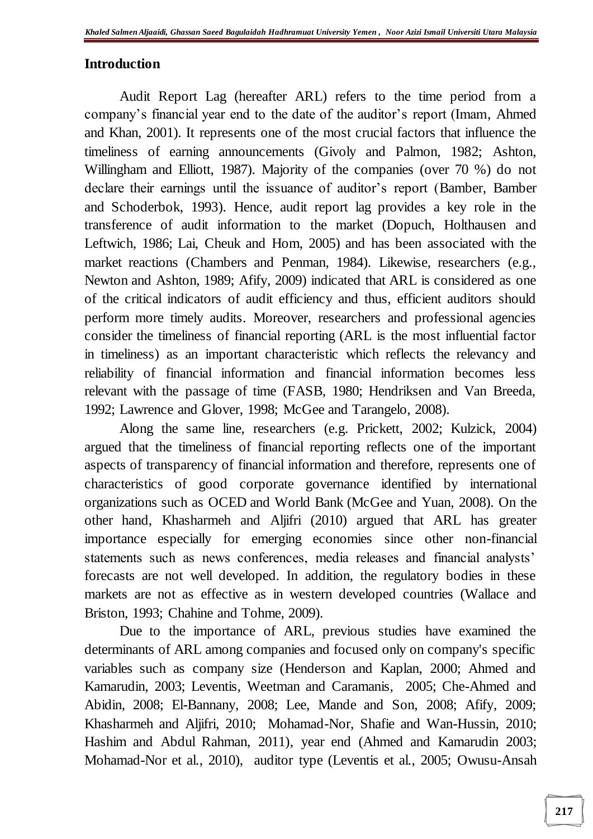## **Introduction**

Audit Report Lag (hereafter ARL) refers to the time period from a company's financial year end to the date of the auditor's report (Imam, Ahmed and Khan, 2001). It represents one of the most crucial factors that influence the timeliness of earning announcements (Givoly and Palmon, 1982; Ashton, Willingham and Elliott, 1987). Majority of the companies (over 70 %) do not declare their earnings until the issuance of auditor's report (Bamber, Bamber and Schoderbok, 1993). Hence, audit report lag provides a key role in the transference of audit information to the market (Dopuch, Holthausen and Leftwich, 1986; Lai, Cheuk and Hom, 2005) and has been associated with the market reactions (Chambers and Penman, 1984). Likewise, researchers (e.g., Newton and Ashton, 1989; Afify, 2009) indicated that ARL is considered as one of the critical indicators of audit efficiency and thus, efficient auditors should perform more timely audits. Moreover, researchers and professional agencies consider the timeliness of financial reporting (ARL is the most influential factor in timeliness) as an important characteristic which reflects the relevancy and reliability of financial information and financial information becomes less relevant with the passage of time (FASB, 1980; Hendriksen and Van Breeda, 1992; Lawrence and Glover, 1998; McGee and Tarangelo, 2008).

Along the same line, researchers (e.g. Prickett, 2002; Kulzick, 2004) argued that the timeliness of financial reporting reflects one of the important aspects of transparency of financial information and therefore, represents one of characteristics of good corporate governance identified by international organizations such as OCED and World Bank (McGee and Yuan, 2008). On the other hand, Khasharmeh and Aljifri (2010) argued that ARL has greater importance especially for emerging economies since other non-financial statements such as news conferences, media releases and financial analysts' forecasts are not well developed. In addition, the regulatory bodies in these markets are not as effective as in western developed countries (Wallace and Briston, 1993; Chahine and Tohme, 2009).

Due to the importance of ARL, previous studies have examined the determinants of ARL among companies and focused only on company's specific variables such as company size (Henderson and Kaplan, 2000; Ahmed and Kamarudin, 2003; Leventis, Weetman and Caramanis, 2005; Che-Ahmed and Abidin, 2008; El-Bannany, 2008; Lee, Mande and Son, 2008; Afify, 2009; Khasharmeh and Aljifri, 2010; Mohamad-Nor, Shafie and Wan-Hussin, 2010; Hashim and Abdul Rahman, 2011), year end (Ahmed and Kamarudin 2003; Mohamad-Nor et al., 2010), auditor type (Leventis et al., 2005; Owusu-Ansah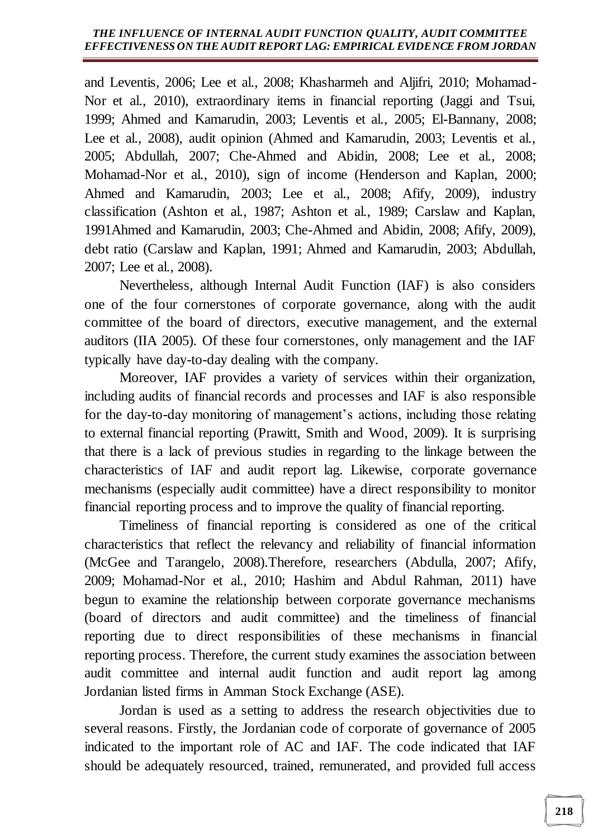and Leventis, 2006; Lee et al., 2008; Khasharmeh and Aljifri, 2010; Mohamad-Nor et al., 2010), extraordinary items in financial reporting (Jaggi and Tsui, 1999; Ahmed and Kamarudin, 2003; Leventis et al., 2005; El-Bannany, 2008; Lee et al., 2008), audit opinion (Ahmed and Kamarudin, 2003; Leventis et al., 2005; Abdullah, 2007; Che-Ahmed and Abidin, 2008; Lee et al., 2008; Mohamad-Nor et al., 2010), sign of income (Henderson and Kaplan, 2000; Ahmed and Kamarudin, 2003; Lee et al., 2008; Afify, 2009), industry classification (Ashton et al., 1987; Ashton et al., 1989; Carslaw and Kaplan, 1991Ahmed and Kamarudin, 2003; Che-Ahmed and Abidin, 2008; Afify, 2009), debt ratio (Carslaw and Kaplan, 1991; Ahmed and Kamarudin, 2003; Abdullah, 2007; Lee et al., 2008).

Nevertheless, although Internal Audit Function (IAF) is also considers one of the four cornerstones of corporate governance, along with the audit committee of the board of directors, executive management, and the external auditors (IIA 2005). Of these four cornerstones, only management and the IAF typically have day-to-day dealing with the company.

Moreover, IAF provides a variety of services within their organization, including audits of financial records and processes and IAF is also responsible for the day-to-day monitoring of management's actions, including those relating to external financial reporting (Prawitt, Smith and Wood, 2009). It is surprising that there is a lack of previous studies in regarding to the linkage between the characteristics of IAF and audit report lag. Likewise, corporate governance mechanisms (especially audit committee) have a direct responsibility to monitor financial reporting process and to improve the quality of financial reporting.

Timeliness of financial reporting is considered as one of the critical characteristics that reflect the relevancy and reliability of financial information (McGee and Tarangelo, 2008).Therefore, researchers (Abdulla, 2007; Afify, 2009; Mohamad-Nor et al., 2010; Hashim and Abdul Rahman, 2011) have begun to examine the relationship between corporate governance mechanisms (board of directors and audit committee) and the timeliness of financial reporting due to direct responsibilities of these mechanisms in financial reporting process. Therefore, the current study examines the association between audit committee and internal audit function and audit report lag among Jordanian listed firms in Amman Stock Exchange (ASE).

Jordan is used as a setting to address the research objectivities due to several reasons. Firstly, the Jordanian code of corporate of governance of 2005 indicated to the important role of AC and IAF. The code indicated that IAF should be adequately resourced, trained, remunerated, and provided full access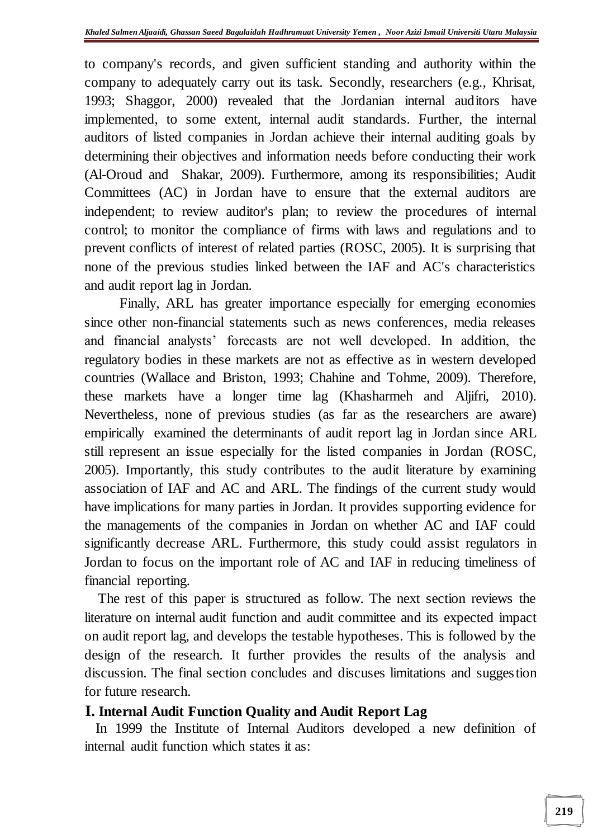to company's records, and given sufficient standing and authority within the company to adequately carry out its task. Secondly, researchers (e.g., Khrisat, 1993; Shaggor, 2000) revealed that the Jordanian internal auditors have implemented, to some extent, internal audit standards. Further, the internal auditors of listed companies in Jordan achieve their internal auditing goals by determining their objectives and information needs before conducting their work (Al-Oroud and Shakar, 2009). Furthermore, among its responsibilities; Audit Committees (AC) in Jordan have to ensure that the external auditors are independent; to review auditor's plan; to review the procedures of internal control; to monitor the compliance of firms with laws and regulations and to prevent conflicts of interest of related parties (ROSC, 2005). It is surprising that none of the previous studies linked between the IAF and AC's characteristics and audit report lag in Jordan.

Finally, ARL has greater importance especially for emerging economies since other non-financial statements such as news conferences, media releases and financial analysts' forecasts are not well developed. In addition, the regulatory bodies in these markets are not as effective as in western developed countries (Wallace and Briston, 1993; Chahine and Tohme, 2009). Therefore, these markets have a longer time lag (Khasharmeh and Aljifri, 2010). Nevertheless, none of previous studies (as far as the researchers are aware) empirically examined the determinants of audit report lag in Jordan since ARL still represent an issue especially for the listed companies in Jordan (ROSC, 2005). Importantly, this study contributes to the audit literature by examining association of IAF and AC and ARL. The findings of the current study would have implications for many parties in Jordan. It provides supporting evidence for the managements of the companies in Jordan on whether AC and IAF could significantly decrease ARL. Furthermore, this study could assist regulators in Jordan to focus on the important role of AC and IAF in reducing timeliness of financial reporting.

The rest of this paper is structured as follow. The next section reviews the literature on internal audit function and audit committee and its expected impact on audit report lag, and develops the testable hypotheses. This is followed by the design of the research. It further provides the results of the analysis and discussion. The final section concludes and discuses limitations and suggestion for future research.

### **I. Internal Audit Function Quality and Audit Report Lag**

In 1999 the Institute of Internal Auditors developed a new definition of internal audit function which states it as: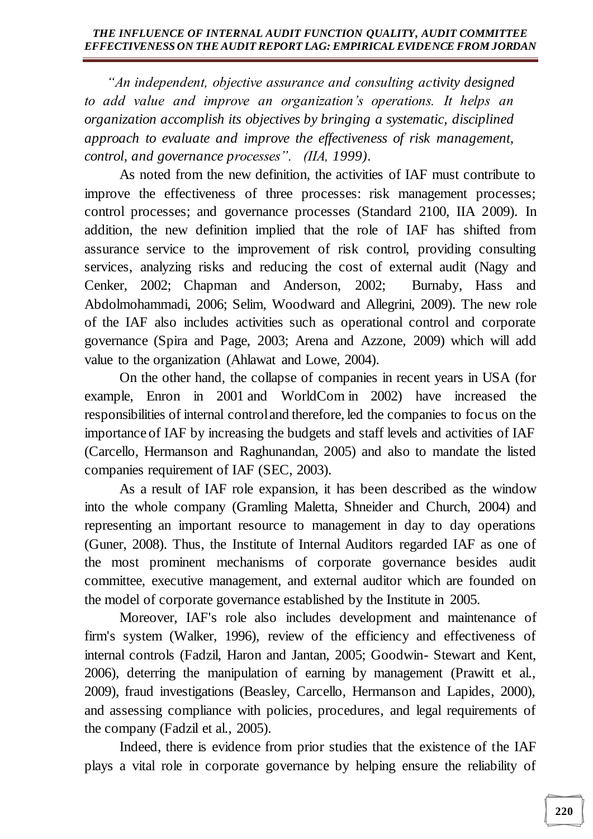*"An independent, objective assurance and consulting activity designed to add value and improve an organization's operations. It helps an organization accomplish its objectives by bringing a systematic, disciplined approach to evaluate and improve the effectiveness of risk management, control, and governance processes". (IIA, 1999).*

As noted from the new definition, the activities of IAF must contribute to improve the effectiveness of three processes: risk management processes; control processes; and governance processes (Standard 2100, IIA 2009). In addition, the new definition implied that the role of IAF has shifted from assurance service to the improvement of risk control, providing consulting services, analyzing risks and reducing the cost of external audit (Nagy and Cenker, 2002; Chapman and Anderson, 2002; Burnaby, Hass and Abdolmohammadi, 2006; Selim, Woodward and Allegrini, 2009). The new role of the IAF also includes activities such as operational control and corporate governance (Spira and Page, 2003; Arena and Azzone, 2009) which will add value to the organization (Ahlawat and Lowe, 2004).

On the other hand, the collapse of companies in recent years in USA (for example, Enron in 2001 and WorldCom in 2002) have increased the responsibilities of internal control and therefore, led the companies to focus on the importance of IAF by increasing the budgets and staff levels and activities of IAF (Carcello, Hermanson and Raghunandan, 2005) and also to mandate the listed companies requirement of IAF (SEC, 2003).

As a result of IAF role expansion, it has been described as the window into the whole company (Gramling Maletta, Shneider and Church, 2004) and representing an important resource to management in day to day operations (Guner, 2008). Thus, the Institute of Internal Auditors regarded IAF as one of the most prominent mechanisms of corporate governance besides audit committee, executive management, and external auditor which are founded on the model of corporate governance established by the Institute in 2005.

Moreover, IAF's role also includes development and maintenance of firm's system (Walker, 1996), review of the efficiency and effectiveness of internal controls (Fadzil, Haron and Jantan, 2005; Goodwin- Stewart and Kent, 2006), deterring the manipulation of earning by management (Prawitt et al., 2009), fraud investigations (Beasley, Carcello, Hermanson and Lapides, 2000), and assessing compliance with policies, procedures, and legal requirements of the company (Fadzil et al., 2005).

Indeed, there is evidence from prior studies that the existence of the IAF plays a vital role in corporate governance by helping ensure the reliability of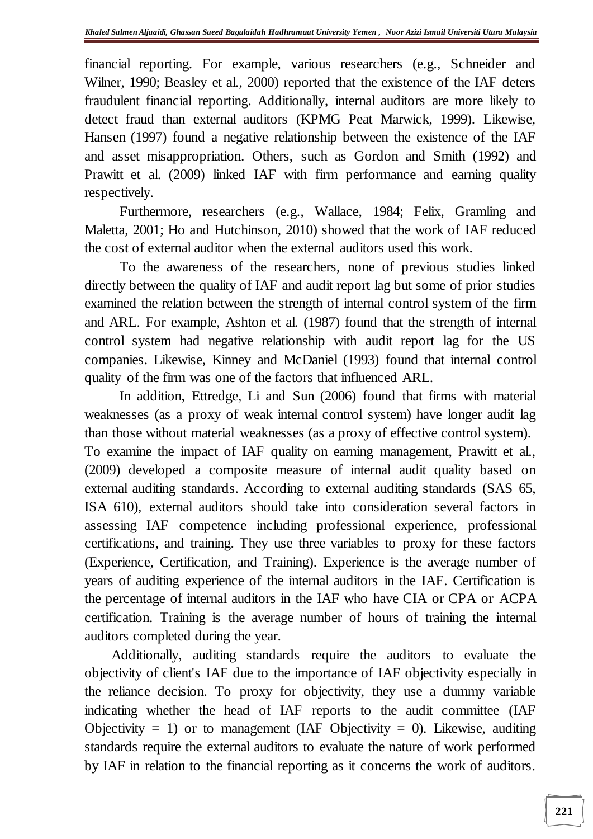financial reporting. For example, various researchers (e.g., Schneider and Wilner, 1990; Beasley et al., 2000) reported that the existence of the IAF deters fraudulent financial reporting. Additionally, internal auditors are more likely to detect fraud than external auditors (KPMG Peat Marwick, 1999). Likewise, Hansen (1997) found a negative relationship between the existence of the IAF and asset misappropriation. Others, such as Gordon and Smith (1992) and Prawitt et al. (2009) linked IAF with firm performance and earning quality respectively.

Furthermore, researchers (e.g., Wallace, 1984; Felix, Gramling and Maletta, 2001; Ho and Hutchinson, 2010) showed that the work of IAF reduced the cost of external auditor when the external auditors used this work.

To the awareness of the researchers, none of previous studies linked directly between the quality of IAF and audit report lag but some of prior studies examined the relation between the strength of internal control system of the firm and ARL. For example, Ashton et al. (1987) found that the strength of internal control system had negative relationship with audit report lag for the US companies. Likewise, Kinney and McDaniel (1993) found that internal control quality of the firm was one of the factors that influenced ARL.

In addition, Ettredge, Li and Sun (2006) found that firms with material weaknesses (as a proxy of weak internal control system) have longer audit lag than those without material weaknesses (as a proxy of effective control system). To examine the impact of IAF quality on earning management, Prawitt et al., (2009) developed a composite measure of internal audit quality based on external auditing standards. According to external auditing standards (SAS 65, ISA 610), external auditors should take into consideration several factors in assessing IAF competence including professional experience, professional certifications, and training. They use three variables to proxy for these factors (Experience, Certification, and Training). Experience is the average number of years of auditing experience of the internal auditors in the IAF. Certification is the percentage of internal auditors in the IAF who have CIA or CPA or ACPA certification. Training is the average number of hours of training the internal auditors completed during the year.

Additionally, auditing standards require the auditors to evaluate the objectivity of client's IAF due to the importance of IAF objectivity especially in the reliance decision. To proxy for objectivity, they use a dummy variable indicating whether the head of IAF reports to the audit committee (IAF Objectivity = 1) or to management (IAF Objectivity = 0). Likewise, auditing standards require the external auditors to evaluate the nature of work performed by IAF in relation to the financial reporting as it concerns the work of auditors.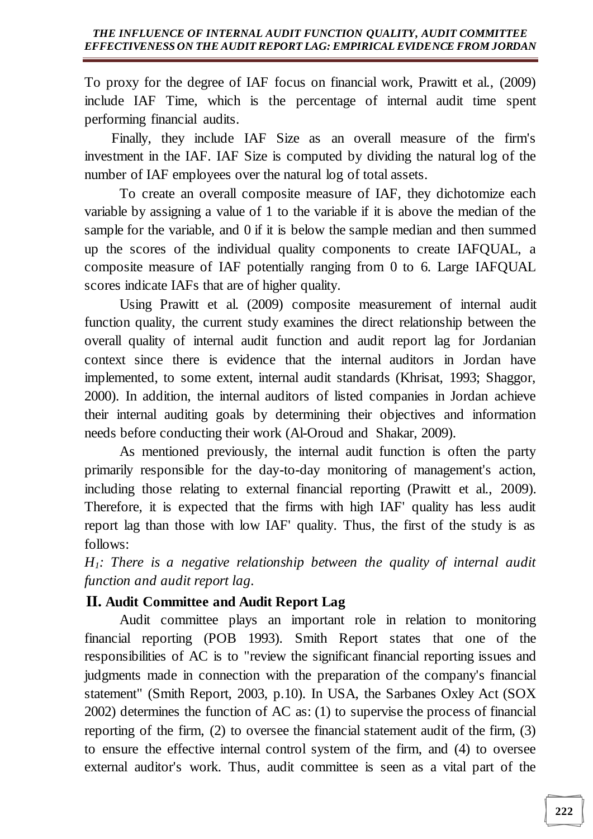To proxy for the degree of IAF focus on financial work, Prawitt et al., (2009) include IAF Time, which is the percentage of internal audit time spent performing financial audits.

Finally, they include IAF Size as an overall measure of the firm's investment in the IAF. IAF Size is computed by dividing the natural log of the number of IAF employees over the natural log of total assets.

To create an overall composite measure of IAF, they dichotomize each variable by assigning a value of 1 to the variable if it is above the median of the sample for the variable, and 0 if it is below the sample median and then summed up the scores of the individual quality components to create IAFQUAL, a composite measure of IAF potentially ranging from 0 to 6. Large IAFQUAL scores indicate IAFs that are of higher quality.

Using Prawitt et al. (2009) composite measurement of internal audit function quality, the current study examines the direct relationship between the overall quality of internal audit function and audit report lag for Jordanian context since there is evidence that the internal auditors in Jordan have implemented, to some extent, internal audit standards (Khrisat, 1993; Shaggor, 2000). In addition, the internal auditors of listed companies in Jordan achieve their internal auditing goals by determining their objectives and information needs before conducting their work (Al-Oroud and Shakar, 2009).

As mentioned previously, the internal audit function is often the party primarily responsible for the day-to-day monitoring of management's action, including those relating to external financial reporting (Prawitt et al., 2009). Therefore, it is expected that the firms with high IAF' quality has less audit report lag than those with low IAF' quality. Thus, the first of the study is as follows:

*H1: There is a negative relationship between the quality of internal audit function and audit report lag.*

## **II. Audit Committee and Audit Report Lag**

Audit committee plays an important role in relation to monitoring financial reporting (POB 1993). Smith Report states that one of the responsibilities of AC is to "review the significant financial reporting issues and judgments made in connection with the preparation of the company's financial statement" (Smith Report, 2003, p.10). In USA, the Sarbanes Oxley Act (SOX 2002) determines the function of AC as: (1) to supervise the process of financial reporting of the firm, (2) to oversee the financial statement audit of the firm, (3) to ensure the effective internal control system of the firm, and (4) to oversee external auditor's work. Thus, audit committee is seen as a vital part of the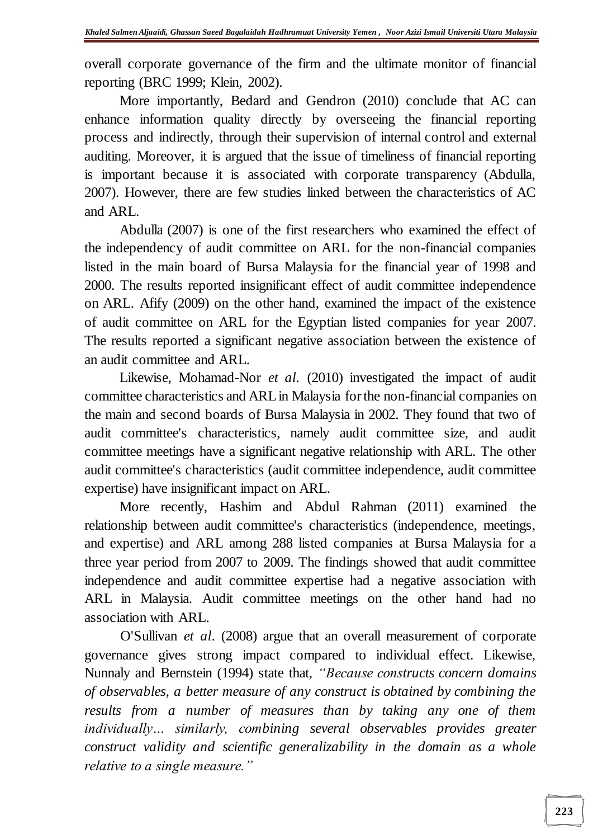overall corporate governance of the firm and the ultimate monitor of financial reporting (BRC 1999; Klein, 2002).

More importantly, Bedard and Gendron (2010) conclude that AC can enhance information quality directly by overseeing the financial reporting process and indirectly, through their supervision of internal control and external auditing. Moreover, it is argued that the issue of timeliness of financial reporting is important because it is associated with corporate transparency (Abdulla, 2007). However, there are few studies linked between the characteristics of AC and ARL.

Abdulla (2007) is one of the first researchers who examined the effect of the independency of audit committee on ARL for the non-financial companies listed in the main board of Bursa Malaysia for the financial year of 1998 and 2000. The results reported insignificant effect of audit committee independence on ARL. Afify (2009) on the other hand, examined the impact of the existence of audit committee on ARL for the Egyptian listed companies for year 2007. The results reported a significant negative association between the existence of an audit committee and ARL.

Likewise, Mohamad-Nor *et al*. (2010) investigated the impact of audit committee characteristics and ARL in Malaysia for the non-financial companies on the main and second boards of Bursa Malaysia in 2002. They found that two of audit committee's characteristics, namely audit committee size, and audit committee meetings have a significant negative relationship with ARL. The other audit committee's characteristics (audit committee independence, audit committee expertise) have insignificant impact on ARL.

More recently, Hashim and Abdul Rahman (2011) examined the relationship between audit committee's characteristics (independence, meetings, and expertise) and ARL among 288 listed companies at Bursa Malaysia for a three year period from 2007 to 2009. The findings showed that audit committee independence and audit committee expertise had a negative association with ARL in Malaysia. Audit committee meetings on the other hand had no association with ARL.

O'Sullivan *et al*. (2008) argue that an overall measurement of corporate governance gives strong impact compared to individual effect. Likewise, Nunnaly and Bernstein (1994) state that, *"Because constructs concern domains of observables, a better measure of any construct is obtained by combining the results from a number of measures than by taking any one of them individually… similarly, combining several observables provides greater construct validity and scientific generalizability in the domain as a whole relative to a single measure."*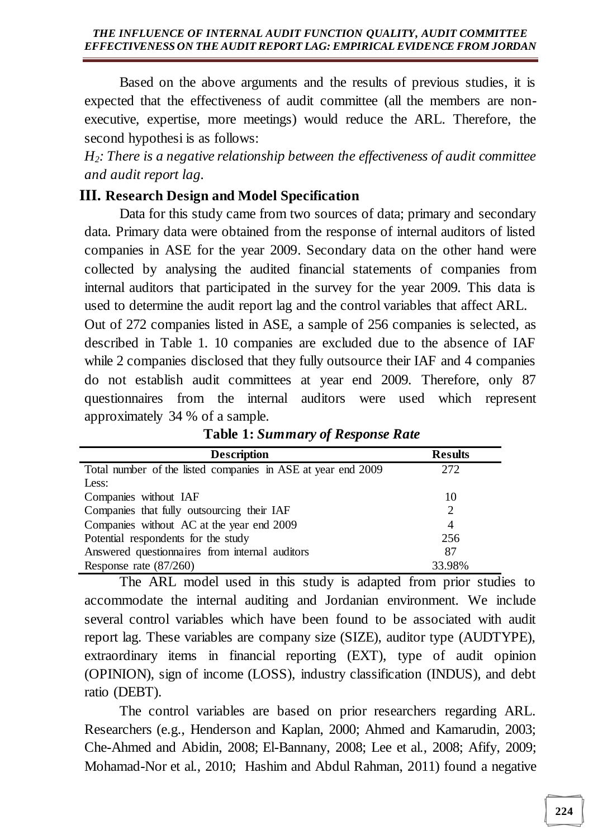Based on the above arguments and the results of previous studies, it is expected that the effectiveness of audit committee (all the members are nonexecutive, expertise, more meetings) would reduce the ARL. Therefore, the second hypothesi is as follows:

*H2: There is a negative relationship between the effectiveness of audit committee and audit report lag.*

## **III. Research Design and Model Specification**

Data for this study came from two sources of data; primary and secondary data. Primary data were obtained from the response of internal auditors of listed companies in ASE for the year 2009. Secondary data on the other hand were collected by analysing the audited financial statements of companies from internal auditors that participated in the survey for the year 2009. This data is used to determine the audit report lag and the control variables that affect ARL.

Out of 272 companies listed in ASE, a sample of 256 companies is selected, as described in Table 1. 10 companies are excluded due to the absence of IAF while 2 companies disclosed that they fully outsource their IAF and 4 companies do not establish audit committees at year end 2009. Therefore, only 87 questionnaires from the internal auditors were used which represent approximately 34 % of a sample.

| <b>Description</b>                                           | <b>Results</b> |
|--------------------------------------------------------------|----------------|
| Total number of the listed companies in ASE at year end 2009 | 272            |
| Less:                                                        |                |
| Companies without IAF                                        | 10             |
| Companies that fully outsourcing their IAF                   |                |
| Companies without AC at the year end 2009                    | 4              |
| Potential respondents for the study                          | 256            |
| Answered questionnaires from internal auditors               | 87             |
| Response rate $(87/260)$                                     | 33.98%         |

**Table 1:** *Summary of Response Rate*

The ARL model used in this study is adapted from prior studies to accommodate the internal auditing and Jordanian environment. We include several control variables which have been found to be associated with audit report lag. These variables are company size (SIZE), auditor type (AUDTYPE), extraordinary items in financial reporting (EXT), type of audit opinion (OPINION), sign of income (LOSS), industry classification (INDUS), and debt ratio (DEBT).

The control variables are based on prior researchers regarding ARL. Researchers (e.g., Henderson and Kaplan, 2000; Ahmed and Kamarudin, 2003; Che-Ahmed and Abidin, 2008; El-Bannany, 2008; Lee et al., 2008; Afify, 2009; Mohamad-Nor et al., 2010; Hashim and Abdul Rahman, 2011) found a negative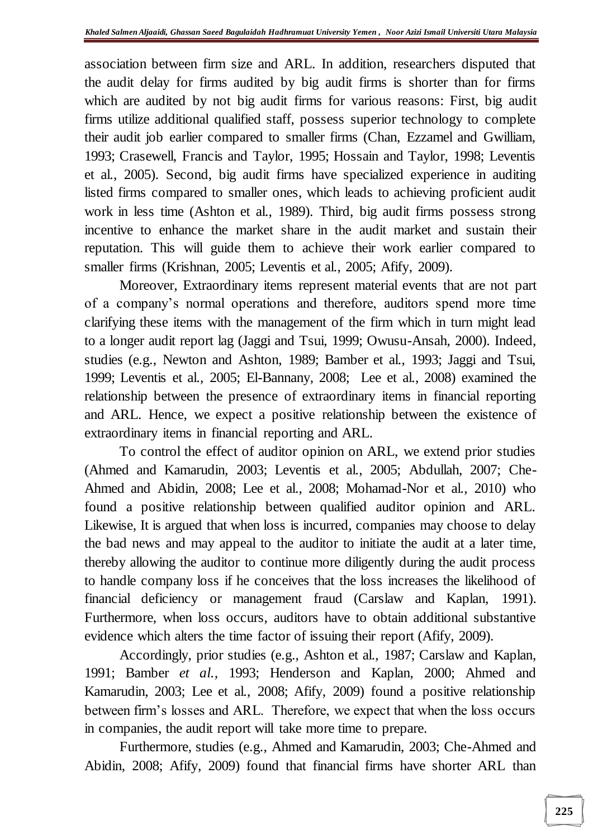association between firm size and ARL. In addition, researchers disputed that the audit delay for firms audited by big audit firms is shorter than for firms which are audited by not big audit firms for various reasons: First, big audit firms utilize additional qualified staff, possess superior technology to complete their audit job earlier compared to smaller firms (Chan, Ezzamel and Gwilliam, 1993; Crasewell, Francis and Taylor, 1995; Hossain and Taylor, 1998; Leventis et al., 2005). Second, big audit firms have specialized experience in auditing listed firms compared to smaller ones, which leads to achieving proficient audit work in less time (Ashton et al., 1989). Third, big audit firms possess strong incentive to enhance the market share in the audit market and sustain their reputation. This will guide them to achieve their work earlier compared to smaller firms (Krishnan, 2005; Leventis et al., 2005; Afify, 2009).

Moreover, Extraordinary items represent material events that are not part of a company's normal operations and therefore, auditors spend more time clarifying these items with the management of the firm which in turn might lead to a longer audit report lag (Jaggi and Tsui, 1999; Owusu-Ansah, 2000). Indeed, studies (e.g., Newton and Ashton, 1989; Bamber et al., 1993; Jaggi and Tsui, 1999; Leventis et al., 2005; El-Bannany, 2008; Lee et al., 2008) examined the relationship between the presence of extraordinary items in financial reporting and ARL. Hence, we expect a positive relationship between the existence of extraordinary items in financial reporting and ARL.

To control the effect of auditor opinion on ARL, we extend prior studies (Ahmed and Kamarudin, 2003; Leventis et al., 2005; Abdullah, 2007; Che-Ahmed and Abidin, 2008; Lee et al., 2008; Mohamad-Nor et al., 2010) who found a positive relationship between qualified auditor opinion and ARL. Likewise, It is argued that when loss is incurred, companies may choose to delay the bad news and may appeal to the auditor to initiate the audit at a later time, thereby allowing the auditor to continue more diligently during the audit process to handle company loss if he conceives that the loss increases the likelihood of financial deficiency or management fraud (Carslaw and Kaplan, 1991). Furthermore, when loss occurs, auditors have to obtain additional substantive evidence which alters the time factor of issuing their report (Afify, 2009).

Accordingly, prior studies (e.g., Ashton et al., 1987; Carslaw and Kaplan, 1991; Bamber *et al.,* 1993; Henderson and Kaplan, 2000; Ahmed and Kamarudin, 2003; Lee et al., 2008; Afify, 2009) found a positive relationship between firm's losses and ARL. Therefore, we expect that when the loss occurs in companies, the audit report will take more time to prepare.

Furthermore, studies (e.g., Ahmed and Kamarudin, 2003; Che-Ahmed and Abidin, 2008; Afify, 2009) found that financial firms have shorter ARL than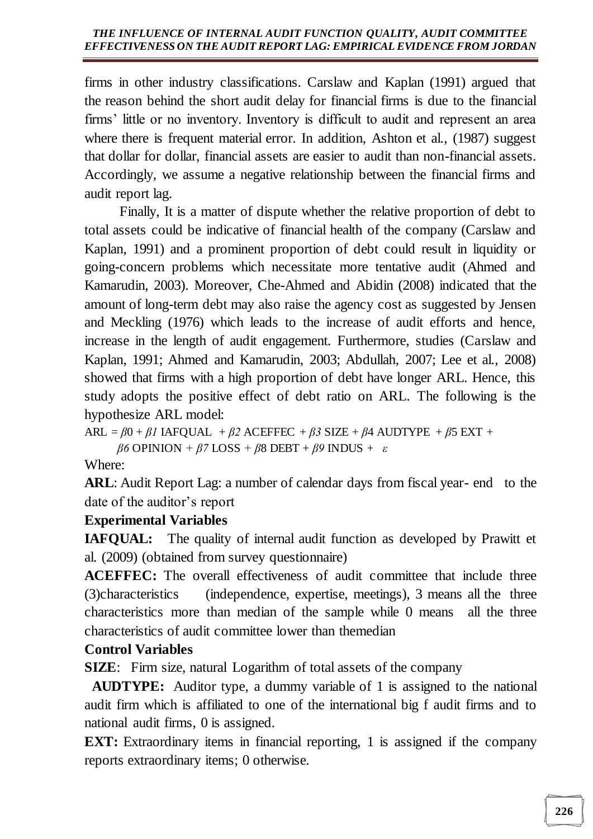firms in other industry classifications. Carslaw and Kaplan (1991) argued that the reason behind the short audit delay for financial firms is due to the financial firms' little or no inventory. Inventory is difficult to audit and represent an area where there is frequent material error. In addition, Ashton et al., (1987) suggest that dollar for dollar, financial assets are easier to audit than non-financial assets. Accordingly, we assume a negative relationship between the financial firms and audit report lag.

Finally, It is a matter of dispute whether the relative proportion of debt to total assets could be indicative of financial health of the company (Carslaw and Kaplan, 1991) and a prominent proportion of debt could result in liquidity or going-concern problems which necessitate more tentative audit (Ahmed and Kamarudin, 2003). Moreover, Che-Ahmed and Abidin (2008) indicated that the amount of long-term debt may also raise the agency cost as suggested by Jensen and Meckling (1976) which leads to the increase of audit efforts and hence, increase in the length of audit engagement. Furthermore, studies (Carslaw and Kaplan, 1991; Ahmed and Kamarudin, 2003; Abdullah, 2007; Lee et al., 2008) showed that firms with a high proportion of debt have longer ARL. Hence, this study adopts the positive effect of debt ratio on ARL. The following is the hypothesize ARL model:

 $ARL = \beta 0 + \beta I$  IAFQUAL +  $\beta 2$  ACEFFEC +  $\beta 3$  SIZE +  $\beta 4$  AUDTYPE +  $\beta 5$  EXT +  *β6* OPINION *+ β7* LOSS *+ β*8 DEBT + *β9* INDUS + *ε*

Where:

ARL: Audit Report Lag: a number of calendar days from fiscal year- end to the date of the auditor's report

## **Experimental Variables**

**IAFQUAL:** The quality of internal audit function as developed by Prawitt et al. (2009) (obtained from survey questionnaire)

**ACEFFEC:** The overall effectiveness of audit committee that include three (3)characteristics (independence, expertise, meetings), 3 means all the three characteristics more than median of the sample while 0 means all the three characteristics of audit committee lower than themedian

## **Control Variables**

**SIZE:** Firm size, natural Logarithm of total assets of the company

 **AUDTYPE:** Auditor type, a dummy variable of 1 is assigned to the national audit firm which is affiliated to one of the international big f audit firms and to national audit firms, 0 is assigned.

**EXT:** Extraordinary items in financial reporting, 1 is assigned if the company reports extraordinary items; 0 otherwise.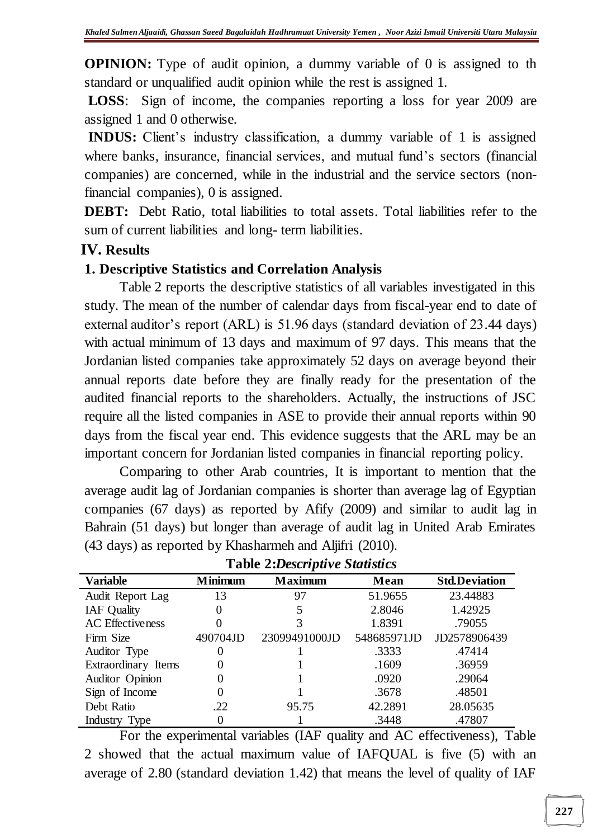**OPINION:** Type of audit opinion, a dummy variable of 0 is assigned to the standard or unqualified audit opinion while the rest is assigned 1.

**LOSS**: Sign of income, the companies reporting a loss for year 2009 are assigned 1 and 0 otherwise.

**INDUS:** Client's industry classification, a dummy variable of 1 is assigned where banks, insurance, financial services, and mutual fund's sectors (financial companies) are concerned, while in the industrial and the service sectors (nonfinancial companies), 0 is assigned.

**DEBT:** Debt Ratio, total liabilities to total assets. Total liabilities refer to the sum of current liabilities and long- term liabilities.

### **IV. Results**

### **1. Descriptive Statistics and Correlation Analysis**

Table 2 reports the descriptive statistics of all variables investigated in this study. The mean of the number of calendar days from fiscal-year end to date of external auditor's report (ARL) is 51.96 days (standard deviation of 23.44 days) with actual minimum of 13 days and maximum of 97 days. This means that the Jordanian listed companies take approximately 52 days on average beyond their annual reports date before they are finally ready for the presentation of the audited financial reports to the shareholders. Actually, the instructions of JSC require all the listed companies in ASE to provide their annual reports within 90 days from the fiscal year end. This evidence suggests that the ARL may be an important concern for Jordanian listed companies in financial reporting policy.

Comparing to other Arab countries, It is important to mention that the average audit lag of Jordanian companies is shorter than average lag of Egyptian companies (67 days) as reported by Afify (2009) and similar to audit lag in Bahrain (51 days) but longer than average of audit lag in United Arab Emirates (43 days) as reported by Khasharmeh and Aljifri (2010).

| <b>Variable</b>         | <b>Minimum</b> | <b>Maximum</b> |             | <b>Std.Deviation</b> |
|-------------------------|----------------|----------------|-------------|----------------------|
| Audit Report Lag        | 13             | 97             | 51.9655     | 23.44883             |
| <b>IAF</b> Quality      |                |                | 2.8046      | 1.42925              |
| <b>AC</b> Effectiveness |                |                | 1.8391      | .79055               |
| Firm Size               | 490704JD       | 23099491000JD  | 548685971JD | JD2578906439         |
| Auditor Type            |                |                | .3333       | .47414               |
| Extraordinary Items     |                |                | .1609       | .36959               |
| Auditor Opinion         |                |                | .0920       | .29064               |
| Sign of Income          |                |                | .3678       | .48501               |
| Debt Ratio              | .22            | 95.75          | 42.2891     | 28.05635             |
| Industry Type           |                |                | .3448       | .47807               |

**Table 2:***Descriptive Statistics*

For the experimental variables (IAF quality and AC effectiveness), Table 2 showed that the actual maximum value of IAFQUAL is five (5) with an average of 2.80 (standard deviation 1.42) that means the level of quality of IAF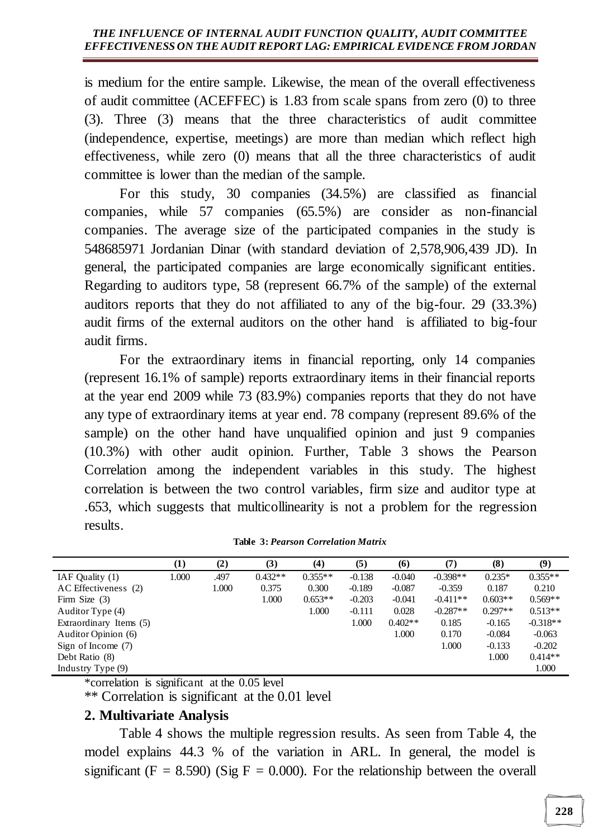is medium for the entire sample. Likewise, the mean of the overall effectiveness of audit committee (ACEFFEC) is 1.83 from scale spans from zero (0) to three (3). Three (3) means that the three characteristics of audit committee (independence, expertise, meetings) are more than median which reflect high effectiveness, while zero (0) means that all the three characteristics of audit committee is lower than the median of the sample.

For this study, 30 companies (34.5%) are classified as financial companies, while 57 companies (65.5%) are consider as non-financial companies. The average size of the participated companies in the study is 548685971 Jordanian Dinar (with standard deviation of 2,578,906,439 JD). In general, the participated companies are large economically significant entities. Regarding to auditors type, 58 (represent 66.7% of the sample) of the external auditors reports that they do not affiliated to any of the big-four. 29 (33.3%) audit firms of the external auditors on the other hand is affiliated to big-four audit firms.

For the extraordinary items in financial reporting, only 14 companies (represent 16.1% of sample) reports extraordinary items in their financial reports at the year end 2009 while 73 (83.9%) companies reports that they do not have any type of extraordinary items at year end. 78 company (represent 89.6% of the sample) on the other hand have unqualified opinion and just 9 companies (10.3%) with other audit opinion. Further, Table 3 shows the Pearson Correlation among the independent variables in this study. The highest correlation is between the two control variables, firm size and auditor type at .653, which suggests that multicollinearity is not a problem for the regression results.

|                         | $\bf(1)$ | (2)   | (3)       | (4)       | (5)      | (6)       | (7)        | (8)       | (9)        |
|-------------------------|----------|-------|-----------|-----------|----------|-----------|------------|-----------|------------|
| IAF Quality (1)         | 1.000    | .497  | $0.432**$ | $0.355**$ | $-0.138$ | $-0.040$  | $-0.398**$ | $0.235*$  | $0.355**$  |
| AC Effectiveness (2)    |          | 1.000 | 0.375     | 0.300     | $-0.189$ | $-0.087$  | $-0.359$   | 0.187     | 0.210      |
| Firm Size $(3)$         |          |       | 1.000     | $0.653**$ | $-0.203$ | $-0.041$  | $-0.411**$ | $0.603**$ | $0.569**$  |
| Auditor Type (4)        |          |       |           | 1.000     | $-0.111$ | 0.028     | $-0.287**$ | $0.297**$ | $0.513**$  |
| Extraordinary Items (5) |          |       |           |           | 1.000    | $0.402**$ | 0.185      | $-0.165$  | $-0.318**$ |
| Auditor Opinion (6)     |          |       |           |           |          | 1.000     | 0.170      | $-0.084$  | $-0.063$   |
| Sign of Income $(7)$    |          |       |           |           |          |           | 1.000      | $-0.133$  | $-0.202$   |
| Debt Ratio (8)          |          |       |           |           |          |           |            | 1.000     | $0.414**$  |
| Industry Type (9)       |          |       |           |           |          |           |            |           | 1.000      |

|  | <b>Table 3: Pearson Correlation Matrix</b> |  |
|--|--------------------------------------------|--|
|  |                                            |  |

\*correlation is significant at the 0.05 level

\*\* Correlation is significant at the 0.01 level

### **2. Multivariate Analysis**

Table 4 shows the multiple regression results. As seen from Table 4, the model explains 44.3 % of the variation in ARL. In general, the model is significant ( $F = 8.590$ ) (Sig  $F = 0.000$ ). For the relationship between the overall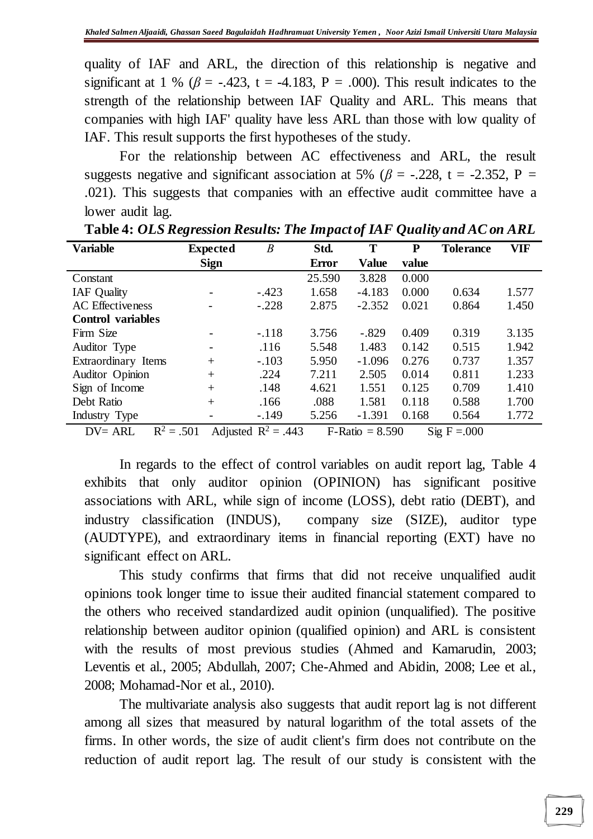quality of IAF and ARL, the direction of this relationship is negative and significant at 1 % ( $\beta$  = -.423, t = -4.183, P = .000). This result indicates to the strength of the relationship between IAF Quality and ARL. This means that companies with high IAF' quality have less ARL than those with low quality of IAF. This result supports the first hypotheses of the study.

For the relationship between AC effectiveness and ARL, the result suggests negative and significant association at 5% ( $\beta$  = -.228, t = -2.352, P = .021). This suggests that companies with an effective audit committee have a lower audit lag.

| <b>Variable</b>            | <b>Expected</b>          | $\boldsymbol{B}$      | Std.         | T                 | P     | <b>Tolerance</b>        | VIF   |
|----------------------------|--------------------------|-----------------------|--------------|-------------------|-------|-------------------------|-------|
|                            | <b>Sign</b>              |                       | <b>Error</b> | <b>Value</b>      | value |                         |       |
| Constant                   |                          |                       | 25.590       | 3.828             | 0.000 |                         |       |
| <b>IAF</b> Quality         |                          | $-.423$               | 1.658        | $-4.183$          | 0.000 | 0.634                   | 1.577 |
| <b>AC</b> Effectiveness    | $\overline{\phantom{0}}$ | $-.228$               | 2.875        | $-2.352$          | 0.021 | 0.864                   | 1.450 |
| <b>Control</b> variables   |                          |                       |              |                   |       |                         |       |
| Firm Size                  |                          | $-.118$               | 3.756        | $-.829$           | 0.409 | 0.319                   | 3.135 |
| Auditor Type               | $\overline{\phantom{0}}$ | .116                  | 5.548        | 1.483             | 0.142 | 0.515                   | 1.942 |
| Extraordinary Items        | $+$                      | $-.103$               | 5.950        | $-1.096$          | 0.276 | 0.737                   | 1.357 |
| Auditor Opinion            | $+$                      | .224                  | 7.211        | 2.505             | 0.014 | 0.811                   | 1.233 |
| Sign of Income             | $+$                      | .148                  | 4.621        | 1.551             | 0.125 | 0.709                   | 1.410 |
| Debt Ratio                 | $+$                      | .166                  | .088         | 1.581             | 0.118 | 0.588                   | 1.700 |
| Industry Type              |                          | $-.149$               | 5.256        | $-1.391$          | 0.168 | 0.564                   | 1.772 |
| $R^2 = .501$<br>$DV = ARL$ |                          | Adjusted $R^2 = .443$ |              | $F-Ratio = 8.590$ |       | $\text{Sig } F = 0.000$ |       |

**Table 4:** *OLS Regression Results: The Impact of IAF Quality and AC on ARL*

In regards to the effect of control variables on audit report lag, Table 4 exhibits that only auditor opinion (OPINION) has significant positive associations with ARL, while sign of income (LOSS), debt ratio (DEBT), and industry classification (INDUS), company size (SIZE), auditor type (AUDTYPE), and extraordinary items in financial reporting (EXT) have no significant effect on ARL.

This study confirms that firms that did not receive unqualified audit opinions took longer time to issue their audited financial statement compared to the others who received standardized audit opinion (unqualified). The positive relationship between auditor opinion (qualified opinion) and ARL is consistent with the results of most previous studies (Ahmed and Kamarudin, 2003; Leventis et al., 2005; Abdullah, 2007; Che-Ahmed and Abidin, 2008; Lee et al., 2008; Mohamad-Nor et al., 2010).

 The multivariate analysis also suggests that audit report lag is not different among all sizes that measured by natural logarithm of the total assets of the firms. In other words, the size of audit client's firm does not contribute on the reduction of audit report lag. The result of our study is consistent with the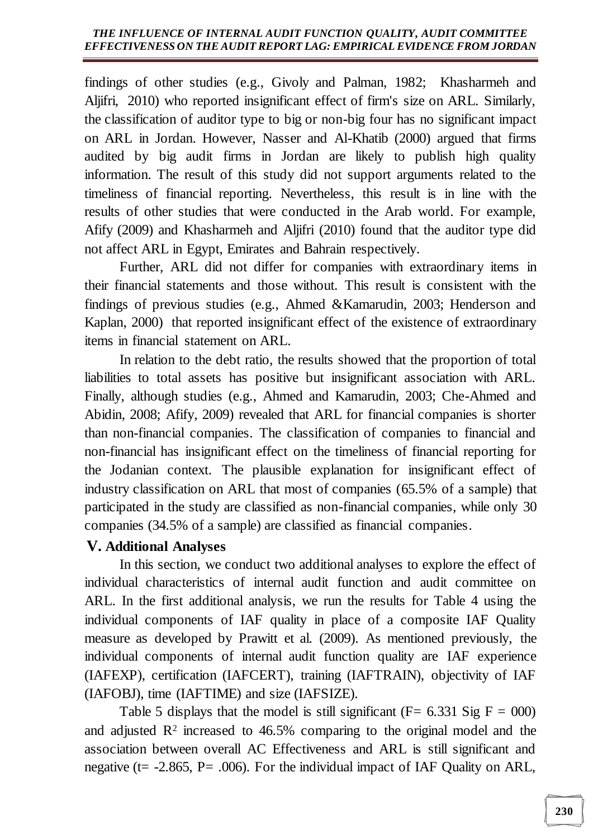findings of other studies (e.g., Givoly and Palman, 1982; Khasharmeh and Aljifri, 2010) who reported insignificant effect of firm's size on ARL. Similarly, the classification of auditor type to big or non-big four has no significant impact on ARL in Jordan. However, Nasser and Al-Khatib (2000) argued that firms audited by big audit firms in Jordan are likely to publish high quality information. The result of this study did not support arguments related to the timeliness of financial reporting. Nevertheless, this result is in line with the results of other studies that were conducted in the Arab world. For example, Afify (2009) and Khasharmeh and Aljifri (2010) found that the auditor type did not affect ARL in Egypt, Emirates and Bahrain respectively.

Further, ARL did not differ for companies with extraordinary items in their financial statements and those without. This result is consistent with the findings of previous studies (e.g., Ahmed &Kamarudin, 2003; Henderson and Kaplan, 2000) that reported insignificant effect of the existence of extraordinary items in financial statement on ARL.

In relation to the debt ratio, the results showed that the proportion of total liabilities to total assets has positive but insignificant association with ARL. Finally, although studies (e.g., Ahmed and Kamarudin, 2003; Che-Ahmed and Abidin, 2008; Afify, 2009) revealed that ARL for financial companies is shorter than non-financial companies. The classification of companies to financial and non-financial has insignificant effect on the timeliness of financial reporting for the Jodanian context. The plausible explanation for insignificant effect of industry classification on ARL that most of companies (65.5% of a sample) that participated in the study are classified as non-financial companies, while only 30 companies (34.5% of a sample) are classified as financial companies.

### **V. Additional Analyses**

In this section, we conduct two additional analyses to explore the effect of individual characteristics of internal audit function and audit committee on ARL. In the first additional analysis, we run the results for Table 4 using the individual components of IAF quality in place of a composite IAF Quality measure as developed by Prawitt et al. (2009). As mentioned previously, the individual components of internal audit function quality are IAF experience (IAFEXP), certification (IAFCERT), training (IAFTRAIN), objectivity of IAF (IAFOBJ), time (IAFTIME) and size (IAFSIZE).

Table 5 displays that the model is still significant ( $F = 6.331$  Sig  $F = 000$ ) and adjusted  $\mathbb{R}^2$  increased to 46.5% comparing to the original model and the association between overall AC Effectiveness and ARL is still significant and negative (t=  $-2.865$ , P=  $.006$ ). For the individual impact of IAF Quality on ARL,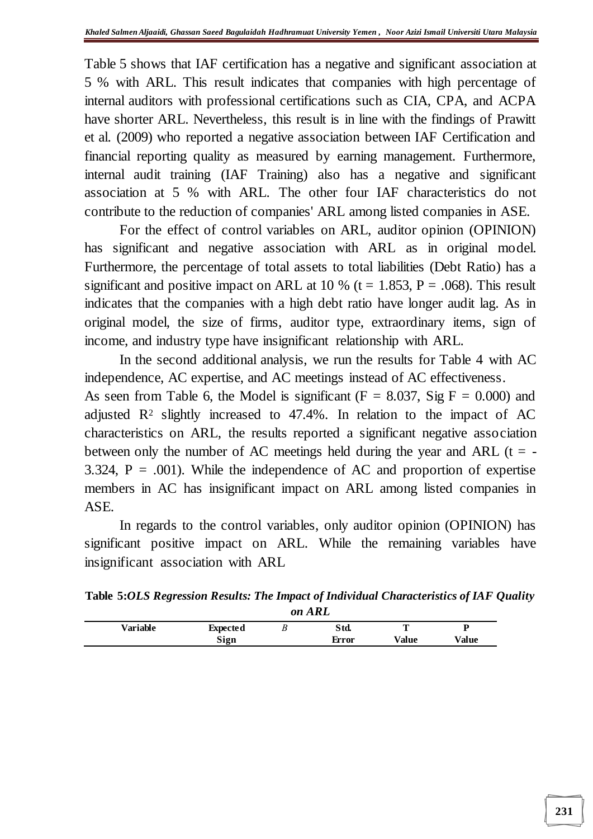Table 5 shows that IAF certification has a negative and significant association at 5 % with ARL. This result indicates that companies with high percentage of internal auditors with professional certifications such as CIA, CPA, and ACPA have shorter ARL. Nevertheless, this result is in line with the findings of Prawitt et al. (2009) who reported a negative association between IAF Certification and financial reporting quality as measured by earning management. Furthermore, internal audit training (IAF Training) also has a negative and significant association at 5 % with ARL. The other four IAF characteristics do not contribute to the reduction of companies' ARL among listed companies in ASE.

For the effect of control variables on ARL, auditor opinion (OPINION) has significant and negative association with ARL as in original model. Furthermore, the percentage of total assets to total liabilities (Debt Ratio) has a significant and positive impact on ARL at 10 % ( $t = 1.853$ ,  $P = .068$ ). This result indicates that the companies with a high debt ratio have longer audit lag. As in original model, the size of firms, auditor type, extraordinary items, sign of income, and industry type have insignificant relationship with ARL.

In the second additional analysis, we run the results for Table 4 with AC independence, AC expertise, and AC meetings instead of AC effectiveness.

As seen from Table 6, the Model is significant ( $F = 8.037$ , Sig  $F = 0.000$ ) and adjusted  $\mathbb{R}^2$  slightly increased to 47.4%. In relation to the impact of AC characteristics on ARL, the results reported a significant negative association between only the number of AC meetings held during the year and ARL ( $t = -$ 3.324,  $P = .001$ ). While the independence of AC and proportion of expertise members in AC has insignificant impact on ARL among listed companies in ASE.

In regards to the control variables, only auditor opinion (OPINION) has significant positive impact on ARL. While the remaining variables have insignificant association with ARL

**Table 5:***OLS Regression Results: The Impact of Individual Characteristics of IAF Quality on ARL*

| Variable | <b>Expected</b> | υ | Std.  | π     |       |
|----------|-----------------|---|-------|-------|-------|
|          | Sign            |   | Error | Value | Value |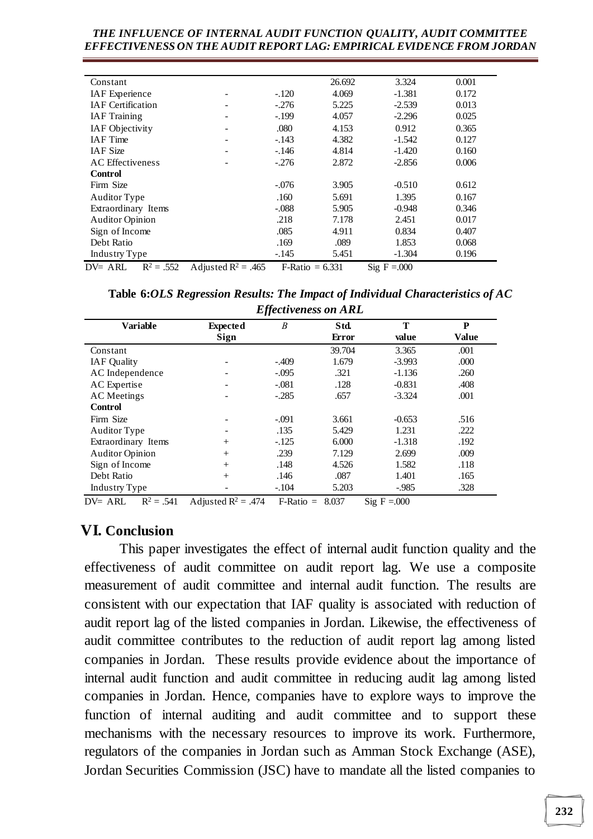| Constant                   |                       |         | 26.692            | 3.324                               | 0.001 |
|----------------------------|-----------------------|---------|-------------------|-------------------------------------|-------|
| <b>IAF</b> Experience      |                       | $-.120$ | 4.069             | $-1.381$                            | 0.172 |
| <b>IAF</b> Certification   |                       | $-.276$ | 5.225             | $-2.539$                            | 0.013 |
| <b>IAF</b> Training        |                       | $-.199$ | 4.057             | $-2.296$                            | 0.025 |
| <b>IAF</b> Objectivity     |                       | .080    | 4.153             | 0.912                               | 0.365 |
| <b>IAF</b> Time            |                       | $-.143$ | 4.382             | $-1.542$                            | 0.127 |
| <b>IAF</b> Size            |                       | $-.146$ | 4.814             | $-1.420$                            | 0.160 |
| <b>AC</b> Effectiveness    |                       | $-.276$ | 2.872             | $-2.856$                            | 0.006 |
| <b>Control</b>             |                       |         |                   |                                     |       |
| Firm Size                  |                       | $-.076$ | 3.905             | $-0.510$                            | 0.612 |
| Auditor Type               |                       | .160    | 5.691             | 1.395                               | 0.167 |
| Extraordinary Items        |                       | $-.088$ | 5.905             | $-0.948$                            | 0.346 |
| <b>Auditor Opinion</b>     |                       | .218    | 7.178             | 2.451                               | 0.017 |
| Sign of Income             |                       | .085    | 4.911             | 0.834                               | 0.407 |
| Debt Ratio                 |                       | .169    | .089              | 1.853                               | 0.068 |
| Industry Type              |                       | $-.145$ | 5.451             | $-1.304$                            | 0.196 |
| $R^2 = .552$<br>$DV = ARL$ | Adjusted $R^2$ = .465 |         | $F-Ratio = 6.331$ | $\text{Si} \times \text{F} = 0.000$ |       |

**Table 6:***OLS Regression Results: The Impact of Individual Characteristics of AC Effectiveness on ARL*

|                                           |                                             | —. , , ,  —               |                 |                        |                   |
|-------------------------------------------|---------------------------------------------|---------------------------|-----------------|------------------------|-------------------|
| <b>Variable</b>                           | <b>Expected</b><br>Sign                     | $\boldsymbol{B}$          | Std.<br>Error   | T<br>value             | P<br><b>Value</b> |
| Constant                                  |                                             |                           | 39.704          | 3.365                  | .001              |
| <b>IAF</b> Quality                        |                                             | $-.409$                   | 1.679           | $-3.993$               | .000              |
| AC Independence                           |                                             | $-.095$                   | .321            | $-1.136$               | .260              |
| AC Expertise                              |                                             | $-.081$                   | .128            | $-0.831$               | .408              |
| <b>AC</b> Meetings                        |                                             | $-.285$                   | .657            | $-3.324$               | .001              |
| <b>Control</b>                            |                                             |                           |                 |                        |                   |
| Firm Size                                 |                                             | $-.091$                   | 3.661           | $-0.653$               | .516              |
| Auditor Type                              |                                             | .135                      | 5.429           | 1.231                  | .222              |
| Extraordinary Items                       | $+$                                         | $-.125$                   | 6.000           | $-1.318$               | .192              |
| <b>Auditor Opinion</b>                    | $+$                                         | .239                      | 7.129           | 2.699                  | .009              |
| Sign of Income                            | $+$                                         | .148                      | 4.526           | 1.582                  | .118              |
| Debt Ratio                                | $+$                                         | .146                      | .087            | 1.401                  | .165              |
| Industry Type                             |                                             | $-.104$                   | 5.203           | $-.985$                | .328              |
| $\mathbf{D}^{\eta}$<br>$NT + NT$<br>$-41$ | $\cdot$ $\sqrt{2}$<br>$\lambda$ 1.<br>$4-4$ | $\mathbf{r}$ $\mathbf{r}$ | 0.027<br>$\sim$ | $\Omega$<br>$\sqrt{ }$ |                   |

DV= ARL  $R^2 = .541$  Adjusted  $R^2 = .474$  F-Ratio = 8.037 Sig F = 000

### **VI. Conclusion**

This paper investigates the effect of internal audit function quality and the effectiveness of audit committee on audit report lag. We use a composite measurement of audit committee and internal audit function. The results are consistent with our expectation that IAF quality is associated with reduction of audit report lag of the listed companies in Jordan. Likewise, the effectiveness of audit committee contributes to the reduction of audit report lag among listed companies in Jordan. These results provide evidence about the importance of internal audit function and audit committee in reducing audit lag among listed companies in Jordan. Hence, companies have to explore ways to improve the function of internal auditing and audit committee and to support these mechanisms with the necessary resources to improve its work. Furthermore, regulators of the companies in Jordan such as Amman Stock Exchange (ASE), Jordan Securities Commission (JSC) have to mandate all the listed companies to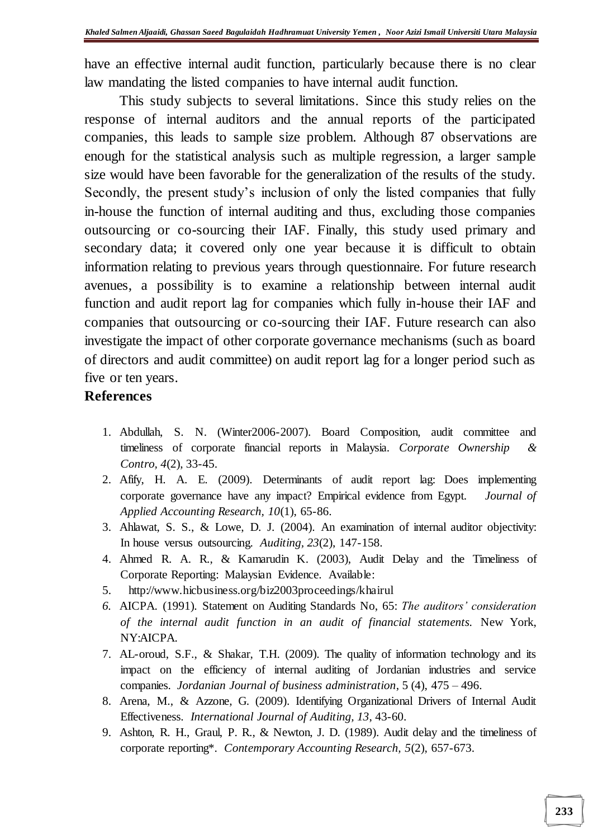have an effective internal audit function, particularly because there is no clear law mandating the listed companies to have internal audit function.

This study subjects to several limitations. Since this study relies on the response of internal auditors and the annual reports of the participated companies, this leads to sample size problem. Although 87 observations are enough for the statistical analysis such as multiple regression, a larger sample size would have been favorable for the generalization of the results of the study. Secondly, the present study's inclusion of only the listed companies that fully in-house the function of internal auditing and thus, excluding those companies outsourcing or co-sourcing their IAF. Finally, this study used primary and secondary data; it covered only one year because it is difficult to obtain information relating to previous years through questionnaire. For future research avenues, a possibility is to examine a relationship between internal audit function and audit report lag for companies which fully in-house their IAF and companies that outsourcing or co-sourcing their IAF. Future research can also investigate the impact of other corporate governance mechanisms (such as board of directors and audit committee) on audit report lag for a longer period such as five or ten years.

#### **References**

- 1. Abdullah, S. N. (Winter2006-2007). Board Composition, audit committee and timeliness of corporate financial reports in Malaysia. *Corporate Ownership & Contro, 4*(2), 33-45.
- 2. Afify, H. A. E. (2009). Determinants of audit report lag: Does implementing corporate governance have any impact? Empirical evidence from Egypt. *Journal of Applied Accounting Research, 10*(1), 65-86.
- 3. Ahlawat, S. S., & Lowe, D. J. (2004). An examination of internal auditor objectivity: In house versus outsourcing. *Auditing, 23*(2), 147-158.
- 4. Ahmed R. A. R., & Kamarudin K. (2003), Audit Delay and the Timeliness of Corporate Reporting: Malaysian Evidence. Available:
- 5. <http://www.hicbusiness.org/biz2003proceedings/khairul>
- *6.* AICPA. (1991). Statement on Auditing Standards No, 65: *The auditors' consideration of the internal audit function in an audit of financial statements.* New York, NY:AICPA.
- 7. AL-oroud, S.F., & Shakar, T.H. (2009). The quality of information technology and its impact on the efficiency of internal auditing of Jordanian industries and service companies. *Jordanian Journal of business administration*, 5 (4), 475 – 496.
- 8. Arena, M., & Azzone, G. (2009). Identifying Organizational Drivers of Internal Audit Effectiveness. *International Journal of Auditing, 13*, 43-60.
- 9. Ashton, R. H., Graul, P. R., & Newton, J. D. (1989). Audit delay and the timeliness of corporate reporting\*. *Contemporary Accounting Research, 5*(2), 657-673.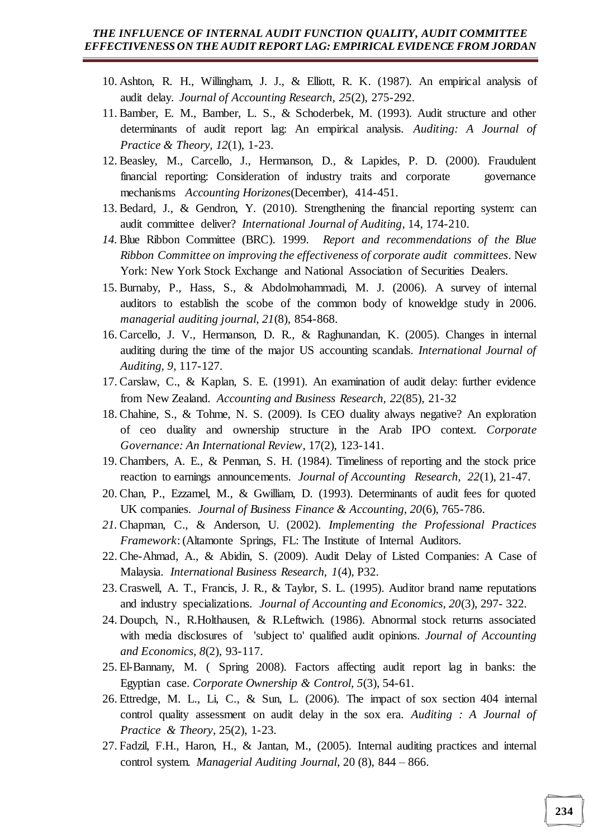- 10. Ashton, R. H., Willingham, J. J., & Elliott, R. K. (1987). An empirical analysis of audit delay. *Journal of Accounting Research, 25*(2), 275-292.
- 11. Bamber, E. M., Bamber, L. S., & Schoderbek, M. (1993). Audit structure and other determinants of audit report lag: An empirical analysis. *Auditing: A Journal of Practice & Theory, 12*(1), 1-23.
- 12. Beasley, M., Carcello, J., Hermanson, D., & Lapides, P. D. (2000). Fraudulent financial reporting: Consideration of industry traits and corporate governance mechanisms *Accounting Horizones*(December), 414-451.
- 13. Bedard, J., & Gendron, Y. (2010). Strengthening the financial reporting system: can audit committee deliver? *International Journal of Auditing*, 14, 174-210.
- *14.* Blue Ribbon Committee (BRC). 1999. *Report and recommendations of the Blue Ribbon Committee on improving the effectiveness of corporate audit committees*. New York: New York Stock Exchange and National Association of Securities Dealers.
- 15. Burnaby, P., Hass, S., & Abdolmohammadi, M. J. (2006). A survey of internal auditors to establish the scobe of the common body of knoweldge study in 2006. *managerial auditing journal, 21*(8), 854-868.
- 16. Carcello, J. V., Hermanson, D. R., & Raghunandan, K. (2005). Changes in internal auditing during the time of the major US accounting scandals. *International Journal of Auditing, 9*, 117-127.
- 17. Carslaw, C., & Kaplan, S. E. (1991). An examination of audit delay: further evidence from New Zealand. *Accounting and Business Research, 22*(85), 21-32
- 18. Chahine, S., & Tohme, N. S. (2009). Is CEO duality always negative? An exploration of ceo duality and ownership structure in the Arab IPO context. *Corporate Governance: An International Review*, 17(2), 123-141.
- 19. Chambers, A. E., & Penman, S. H. (1984). Timeliness of reporting and the stock price reaction to earnings announcements. *Journal of Accounting Research, 22*(1), 21-47.
- 20. Chan, P., Ezzamel, M., & Gwilliam, D. (1993). Determinants of audit fees for quoted UK companies. *Journal of Business Finance & Accounting, 20*(6), 765-786.
- *21.* Chapman, C., & Anderson, U. (2002). *Implementing the Professional Practices Framework*: (Altamonte Springs, FL: The Institute of Internal Auditors.
- 22. Che-Ahmad, A., & Abidin, S. (2009). Audit Delay of Listed Companies: A Case of Malaysia. *International Business Research, 1*(4), P32.
- 23. Craswell, A. T., Francis, J. R., & Taylor, S. L. (1995). Auditor brand name reputations and industry specializations. *Journal of Accounting and Economics, 20*(3), 297- 322.
- 24. Doupch, N., R.Holthausen, & R.Leftwich. (1986). Abnormal stock returns associated with media disclosures of 'subject to' qualified audit opinions. *Journal of Accounting and Economics, 8*(2), 93-117.
- 25. El-Bannany, M. ( Spring 2008). Factors affecting audit report lag in banks: the Egyptian case. *Corporate Ownership & Control, 5*(3), 54-61.
- 26. Ettredge, M. L., Li, C., & Sun, L. (2006). The impact of sox section 404 internal control quality assessment on audit delay in the sox era. *Auditing : A Journal of Practice & Theory*, 25(2), 1-23.
- 27. Fadzil, F.H., Haron, H., & Jantan, M., (2005). Internal auditing practices and internal control system. *Managerial Auditing Journal*, 20 (8), 844 – 866.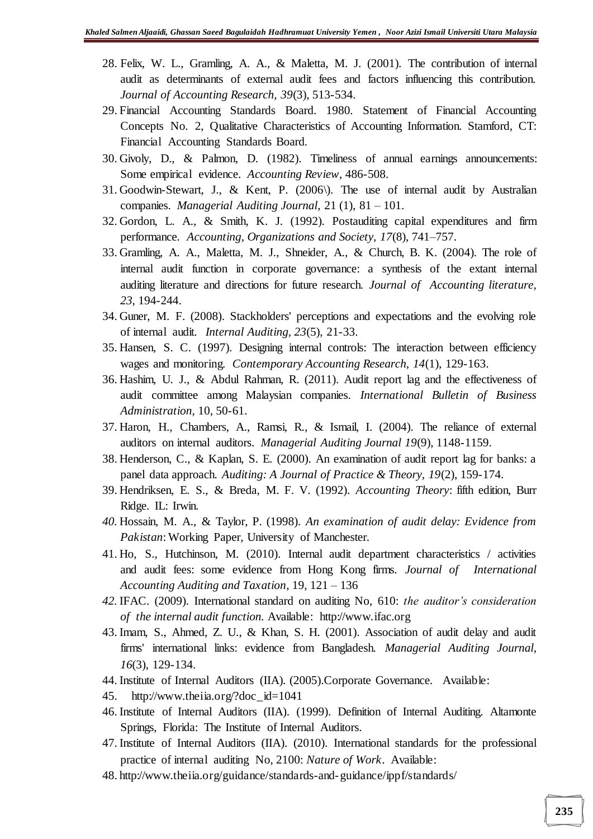- 28. Felix, W. L., Gramling, A. A., & Maletta, M. J. (2001). The contribution of internal audit as determinants of external audit fees and factors influencing this contribution. *Journal of Accounting Research, 39*(3), 513-534.
- 29. Financial Accounting Standards Board. 1980. Statement of Financial Accounting Concepts No. 2, Qualitative Characteristics of Accounting Information. Stamford, CT: Financial Accounting Standards Board.
- 30. Givoly, D., & Palmon, D. (1982). Timeliness of annual earnings announcements: Some empirical evidence. *Accounting Review*, 486-508.
- 31. Goodwin-Stewart, J., & Kent, P. (2006\). The use of internal audit by Australian companies. *Managerial Auditing Journal*, 21 (1), 81 – 101.
- 32. Gordon, L. A., & Smith, K. J. (1992). Postauditing capital expenditures and firm performance. *Accounting, Organizations and Society, 17*(8), 741–757.
- 33. Gramling, A. A., Maletta, M. J., Shneider, A., & Church, B. K. (2004). The role of internal audit function in corporate governance: a synthesis of the extant internal auditing literature and directions for future research. *Journal of Accounting literature, 23*, 194-244.
- 34. Guner, M. F. (2008). Stackholders' perceptions and expectations and the evolving role of internal audit. *Internal Auditing, 23*(5), 21-33.
- 35. Hansen, S. C. (1997). Designing internal controls: The interaction between efficiency wages and monitoring. *Contemporary Accounting Research, 14*(1), 129-163.
- 36. Hashim, U. J., & Abdul Rahman, R. (2011). Audit report lag and the effectiveness of audit committee among Malaysian companies. *International Bulletin of Business Administration*, 10, 50-61.
- 37. Haron, H., Chambers, A., Ramsi, R., & Ismail, I. (2004). The reliance of external auditors on internal auditors. *Managerial Auditing Journal 19*(9), 1148-1159.
- 38. Henderson, C., & Kaplan, S. E. (2000). An examination of audit report lag for banks: a panel data approach. *Auditing: A Journal of Practice & Theory, 19*(2), 159-174.
- 39. Hendriksen, E. S., & Breda, M. F. V. (1992). *Accounting Theory*: fifth edition, Burr Ridge. IL: Irwin.
- *40.* Hossain, M. A., & Taylor, P. (1998). *An examination of audit delay: Evidence from Pakistan*: Working Paper, University of Manchester.
- 41. Ho, S., Hutchinson, M. (2010). Internal audit department characteristics / activities and audit fees: some evidence from Hong Kong firms. *Journal of International Accounting Auditing and Taxation*, 19, 121 – 136
- *42.* IFAC. (2009). International standard on auditing No, 610: *the auditor's consideration of the internal audit function.* Available: http://www.ifac.org
- 43. Imam, S., Ahmed, Z. U., & Khan, S. H. (2001). Association of audit delay and audit firms' international links: evidence from Bangladesh. *Managerial Auditing Journal, 16*(3), 129-134.
- 44. Institute of Internal Auditors (IIA). (2005).Corporate Governance. Available:
- 45. [http://www.theiia.org/?doc\\_id=1041](http://www.theiia.org/?doc_id=1041)
- 46. Institute of Internal Auditors (IIA). (1999). Definition of Internal Auditing. Altamonte Springs, Florida: The Institute of Internal Auditors.
- 47. Institute of Internal Auditors (IIA). (2010). International standards for the professional practice of internal auditing No, 2100: *Nature of Work*. Available:
- 48. <http://www.theiia.org/guidance/standards-and-guidance/ippf/standards/>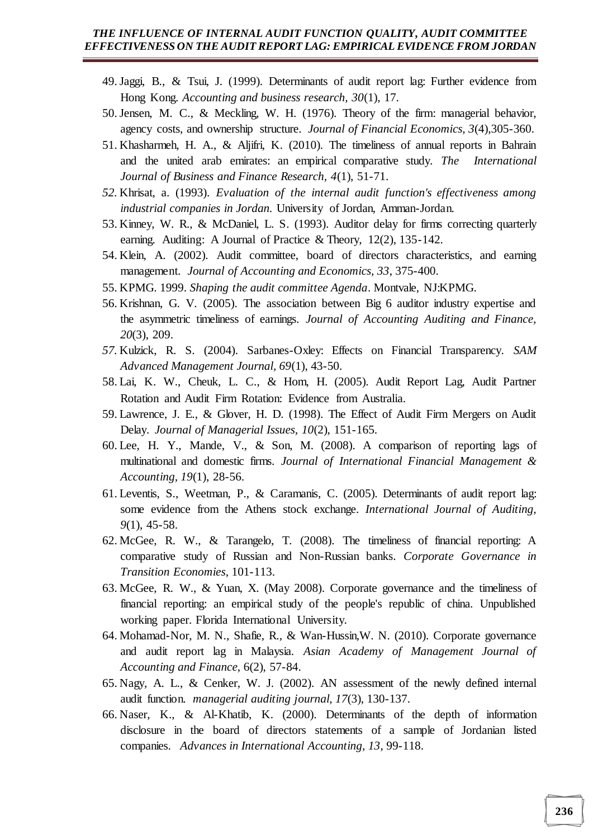- 49.Jaggi, B., & Tsui, J. (1999). Determinants of audit report lag: Further evidence from Hong Kong. *Accounting and business research, 30*(1), 17.
- 50.Jensen, M. C., & Meckling, W. H. (1976). Theory of the firm: managerial behavior, agency costs, and ownership structure. *Journal of Financial Economics, 3*(4),305-360.
- 51. Khasharmeh, H. A., & Aljifri, K. (2010). The timeliness of annual reports in Bahrain and the united arab emirates: an empirical comparative study. *The International Journal of Business and Finance Research, 4*(1), 51-71.
- *52.* Khrisat, a. (1993). *Evaluation of the internal audit function's effectiveness among industrial companies in Jordan.* University of Jordan, Amman-Jordan.
- 53. Kinney, W. R., & McDaniel, L. S. (1993). Auditor delay for firms correcting quarterly earning. Auditing: A Journal of Practice & Theory, 12(2), 135-142.
- 54. Klein, A. (2002). Audit committee, board of directors characteristics, and earning management. *Journal of Accounting and Economics, 33*, 375-400.
- 55. KPMG. 1999. *Shaping the audit committee Agenda*. Montvale, NJ:KPMG.
- 56. Krishnan, G. V. (2005). The association between Big 6 auditor industry expertise and the asymmetric timeliness of earnings. *Journal of Accounting Auditing and Finance, 20*(3), 209.
- *57.* Kulzick, R. S. (2004). Sarbanes-Oxley: Effects on Financial Transparency. *SAM Advanced Management Journal, 69*(1), 43-50.
- 58. Lai, K. W., Cheuk, L. C., & Hom, H. (2005). Audit Report Lag, Audit Partner Rotation and Audit Firm Rotation: Evidence from Australia.
- 59. Lawrence, J. E., & Glover, H. D. (1998). The Effect of Audit Firm Mergers on Audit Delay. *Journal of Managerial Issues, 10*(2), 151-165.
- 60. Lee, H. Y., Mande, V., & Son, M. (2008). A comparison of reporting lags of multinational and domestic firms. *Journal of International Financial Management & Accounting, 19*(1), 28-56.
- 61. Leventis, S., Weetman, P., & Caramanis, C. (2005). Determinants of audit report lag: some evidence from the Athens stock exchange. *International Journal of Auditing, 9*(1), 45-58.
- 62. McGee, R. W., & Tarangelo, T. (2008). The timeliness of financial reporting: A comparative study of Russian and Non-Russian banks. *Corporate Governance in Transition Economies*, 101-113.
- 63. McGee, R. W., & Yuan, X. (May 2008). Corporate governance and the timeliness of financial reporting: an empirical study of the people's republic of china. Unpublished working paper. Florida International University.
- 64. Mohamad-Nor, M. N., Shafie, R., & Wan-Hussin,W. N. (2010). Corporate governance and audit report lag in Malaysia. *Asian Academy of Management Journal of Accounting and Finance,* 6(2), 57-84.
- 65. Nagy, A. L., & Cenker, W. J. (2002). AN assessment of the newly defined internal audit function. *managerial auditing journal, 17*(3), 130-137.
- 66. Naser, K., & Al-Khatib, K. (2000). Determinants of the depth of information disclosure in the board of directors statements of a sample of Jordanian listed companies. *Advances in International Accounting, 13*, 99-118.